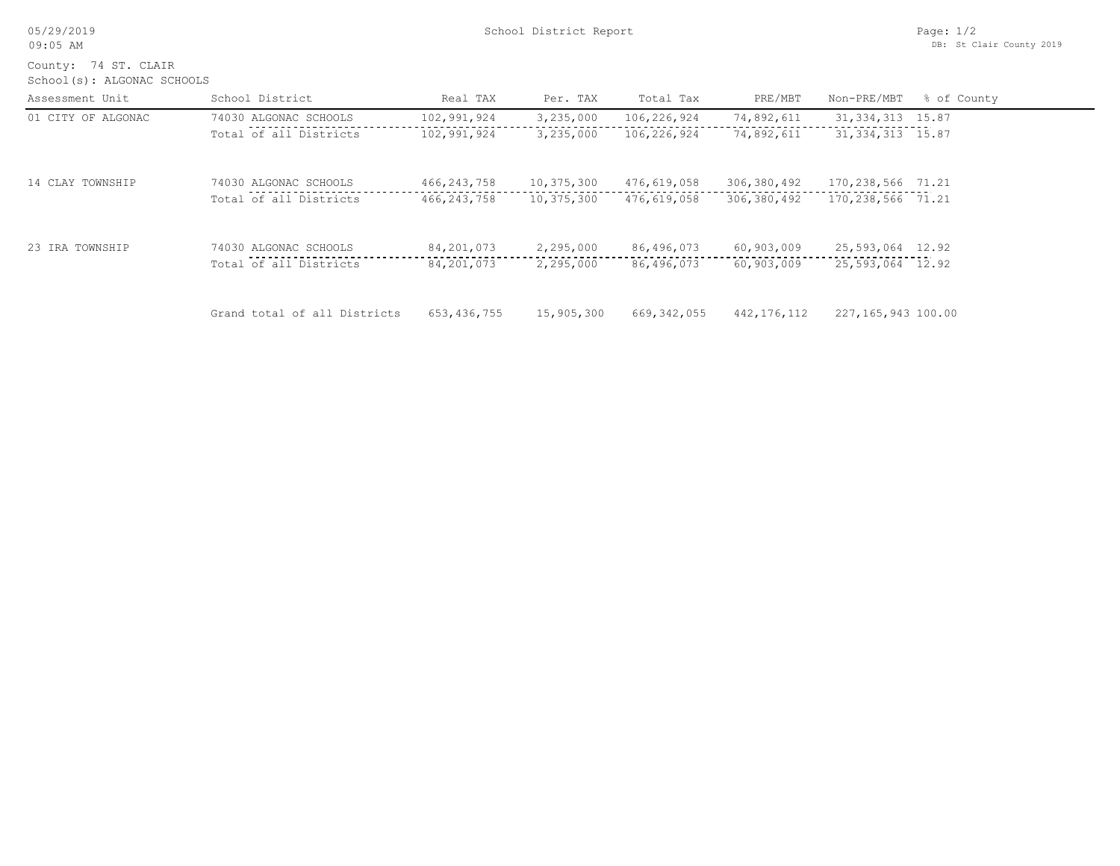| 05/29/2019 |  |
|------------|--|
|------------|--|

School(s): ALGONAC SCHOOLS County: 74 ST. CLAIR

| Assessment Unit    | School District              | Real TAX     | Per. TAX   | Total Tax   | PRE/MBT       | Non-PRE/MBT         | % of County |
|--------------------|------------------------------|--------------|------------|-------------|---------------|---------------------|-------------|
| 01 CITY OF ALGONAC | 74030 ALGONAC SCHOOLS        | 102,991,924  | 3,235,000  | 106,226,924 | 74,892,611    | 31, 334, 313 15.87  |             |
|                    | Total of all Districts       | 102,991,924  | 3,235,000  | 106,226,924 | 74,892,611    | 31, 334, 313 15.87  |             |
| 14 CLAY TOWNSHIP   | 74030 ALGONAC SCHOOLS        | 466,243,758  | 10,375,300 | 476,619,058 | 306,380,492   | 170,238,566 71.21   |             |
|                    | Total of all Districts       | 466,243,758  | 10,375,300 | 476,619,058 | 306,380,492   | 170, 238, 566 71.21 |             |
| 23 IRA TOWNSHIP    | 74030 ALGONAC SCHOOLS        | 84,201,073   | 2,295,000  | 86,496,073  | 60,903,009    | 25,593,064 12.92    |             |
|                    | Total of all Districts       | 84, 201, 073 | 2,295,000  | 86,496,073  | 60,903,009    | 25,593,064 12.92    |             |
|                    | Grand total of all Districts | 653,436,755  | 15,905,300 | 669,342,055 | 442, 176, 112 | 227,165,943 100.00  |             |